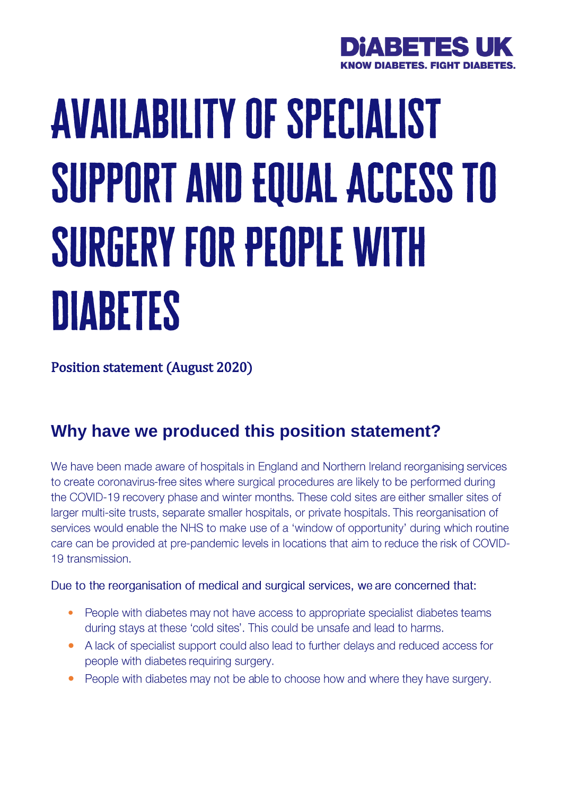

# **AVAILABILITY OF SPECIALIST** SUPPORT AND EQUAL ACCESS TO **SURGERY FOR PEOPLE WITH** DIABETES

Position statement (August 2020)

## **Why have we produced this position statement?**

We have been made aware of hospitals in England and Northern Ireland reorganising services to create coronavirus-free sites where surgical procedures are likely to be performed during the COVID-19 recovery phase and winter months. These cold sites are either smaller sites of larger multi-site trusts, separate smaller hospitals, or private hospitals. This reorganisation of services would enable the NHS to make use of a 'window of opportunity' during which routine care can be provided at pre-pandemic levels in locations that aim to reduce the risk of COVID-19 transmission.

Due to the reorganisation of medical and surgical services, we are concerned that:

- $\bullet$ People with diabetes may not have access to appropriate specialist diabetes teams during stays at these 'cold sites'. This could be unsafe and lead to harms.
- $\bullet$ A lack of specialist support could also lead to further delays and reduced access for people with diabetes requiring surgery.
- $\bullet$ People with diabetes may not be able to choose how and where they have surgery.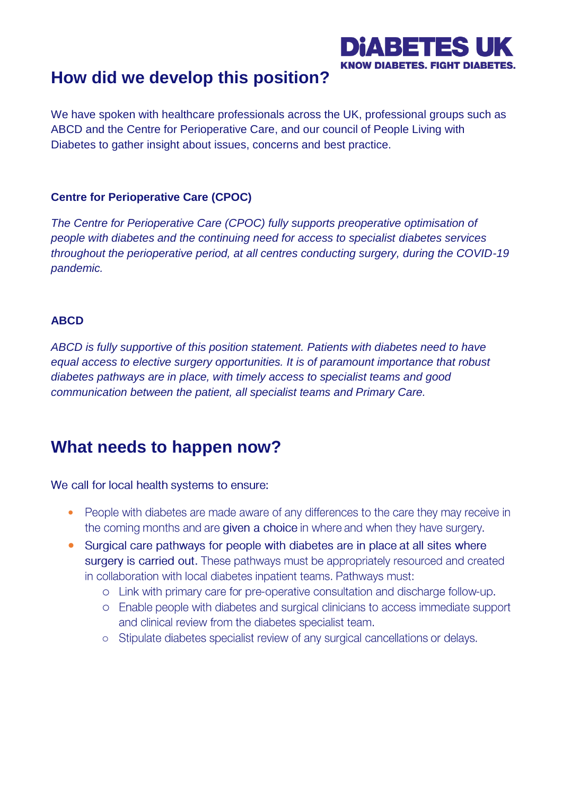### DIARETES **KNOW DIABETES. FIGHT DIA**

## **How did we develop this position?**

We have spoken with healthcare professionals across the UK, professional groups such as ABCD and the Centre for Perioperative Care, and our council of People Living with Diabetes to gather insight about issues, concerns and best practice.

#### **Centre for Perioperative Care (CPOC)**

*The Centre for Perioperative Care (CPOC) fully supports preoperative optimisation of people with diabetes and the continuing need for access to specialist diabetes services throughout the perioperative period, at all centres conducting surgery, during the COVID-19 pandemic.*

#### **ABCD**

*ABCD is fully supportive of this position statement. Patients with diabetes need to have equal access to elective surgery opportunities. It is of paramount importance that robust diabetes pathways are in place, with timely access to specialist teams and good communication between the patient, all specialist teams and Primary Care.*

## **What needs to happen now?**

We call for local health systems to ensure:

- People with diabetes are made aware of any differences to the care they may receive in the coming months and are given a choice in where and when they have surgery.
- Surgical care pathways for people with diabetes are in place at all sites where surgery is carried out. These pathways must be appropriately resourced and created in collaboration with local diabetes inpatient teams. Pathways must:
	- o Link with primary care for pre-operative consultation and discharge follow-up.
	- o Enable people with diabetes and surgical clinicians to access immediate support and clinical review from the diabetes specialist team.
	- o Stipulate diabetes specialist review of any surgical cancellations or delays.